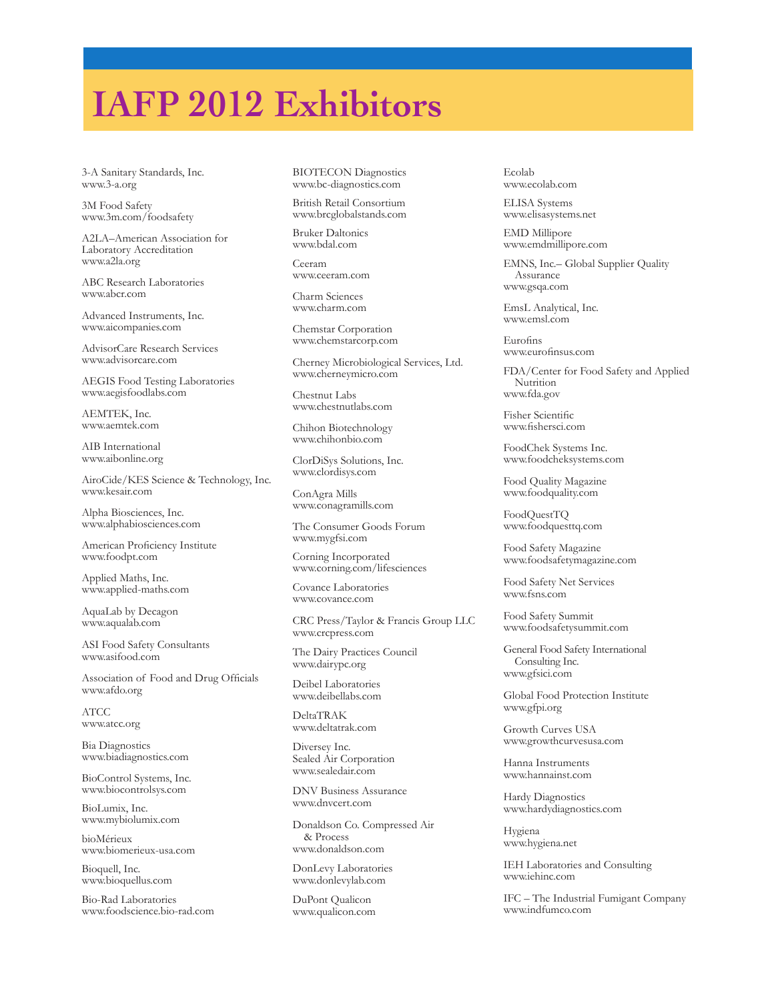## **IAFP 2012 Exhibitors**

3-A Sanitary Standards, Inc. www.3-a.org

3M Food Safety www.3m.com/foodsafety

A2LA–American Association for Laboratory Accreditation www.a2la.org

ABC Research Laboratories www.abcr.com

Advanced Instruments, Inc. www.aicompanies.com

AdvisorCare Research Services www.advisorcare.com

AEGIS Food Testing Laboratories www.aegisfoodlabs.com

AEMTEK, Inc. www.aemtek.com

AIB International www.aibonline.org

AiroCide/KES Science & Technology, Inc. www.kesair.com

Alpha Biosciences, Inc. www.alphabiosciences.com

American Proficiency Institute www.foodpt.com

Applied Maths, Inc. www.applied-maths.com

AquaLab by Decagon www.aqualab.com

ASI Food Safety Consultants www.asifood.com

Association of Food and Drug Officials www.afdo.org

ATCC www.atcc.org

Bia Diagnostics www.biadiagnostics.com

BioControl Systems, Inc. www.biocontrolsys.com

BioLumix, Inc. www.mybiolumix.com

bioMérieux www.biomerieux-usa.com

Bioquell, Inc. www.bioquellus.com

Bio-Rad Laboratories www.foodscience.bio-rad.com BIOTECON Diagnostics www.bc-diagnostics.com

British Retail Consortium www.brcglobalstands.com

Bruker Daltonics www.bdal.com

Ceeram www.ceeram.com

Charm Sciences www.charm.com

Chemstar Corporation www.chemstarcorp.com

Cherney Microbiological Services, Ltd. www.cherneymicro.com

Chestnut Labs www.chestnutlabs.com

Chihon Biotechnology www.chihonbio.com

ClorDiSys Solutions, Inc. www.clordisys.com

ConAgra Mills www.conagramills.com

The Consumer Goods Forum www.mygfsi.com

Corning Incorporated www.corning.com/lifesciences

Covance Laboratories www.covance.com

CRC Press/Taylor & Francis Group LLC www.crcpress.com

The Dairy Practices Council www.dairypc.org

Deibel Laboratories www.deibellabs.com

DeltaTRAK www.deltatrak.com

Diversey Inc. Sealed Air Corporation www.sealedair.com

DNV Business Assurance www.dnvcert.com

Donaldson Co. Compressed Air & Process www.donaldson.com

DonLevy Laboratories www.donlevylab.com

DuPont Qualicon www.qualicon.com Ecolab www.ecolab.com

ELISA Systems www.elisasystems.net

EMD Millipore www.emdmillipore.com

EMNS, Inc.– Global Supplier Quality Assurance www.gsqa.com

EmsL Analytical, Inc. www.emsl.com

Eurofins www.eurofinsus.com

FDA/Center for Food Safety and Applied Nutrition www.fda.gov

Fisher Scientific www.fishersci.com

FoodChek Systems Inc. www.foodcheksystems.com

Food Quality Magazine www.foodquality.com

FoodQuestTQ www.foodquesttq.com

Food Safety Magazine www.foodsafetymagazine.com

Food Safety Net Services www.fsns.com

Food Safety Summit www.foodsafetysummit.com

General Food Safety International Consulting Inc. www.gfsici.com

Global Food Protection Institute www.gfpi.org

Growth Curves USA www.growthcurvesusa.com

Hanna Instruments www.hannainst.com

Hardy Diagnostics www.hardydiagnostics.com

Hygiena www.hygiena.net

IEH Laboratories and Consulting www.iehinc.com

IFC – The Industrial Fumigant Company www.indfumco.com